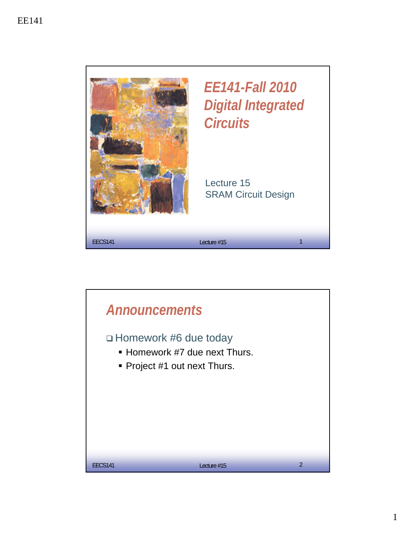

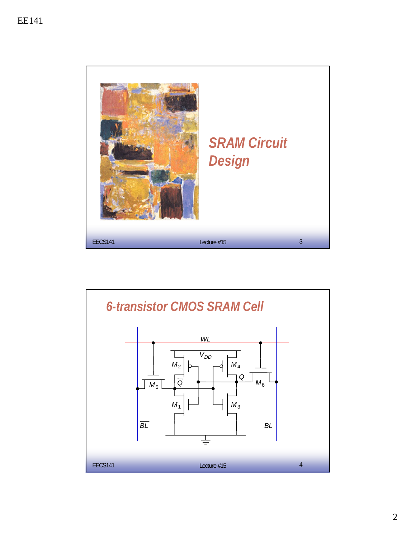

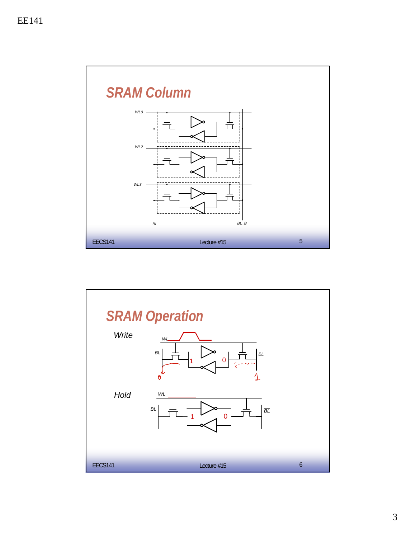

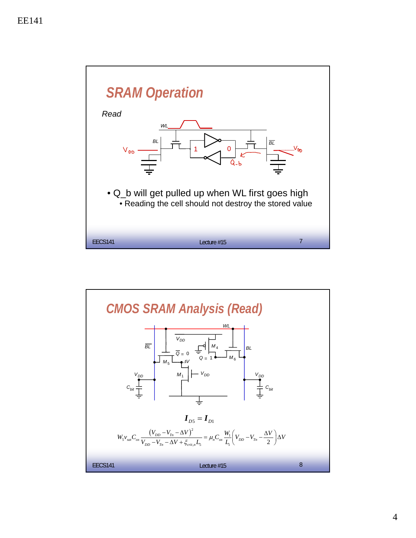

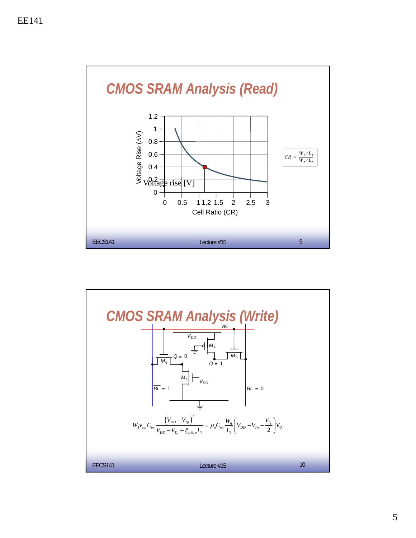

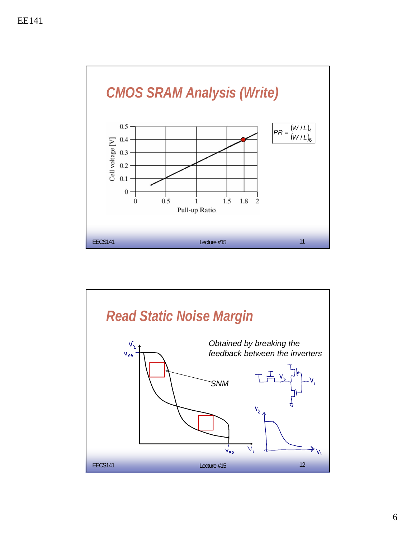

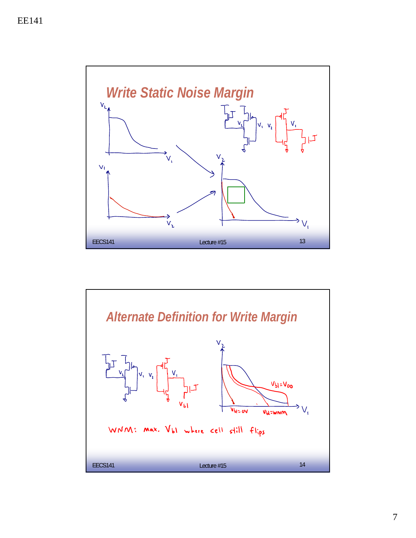